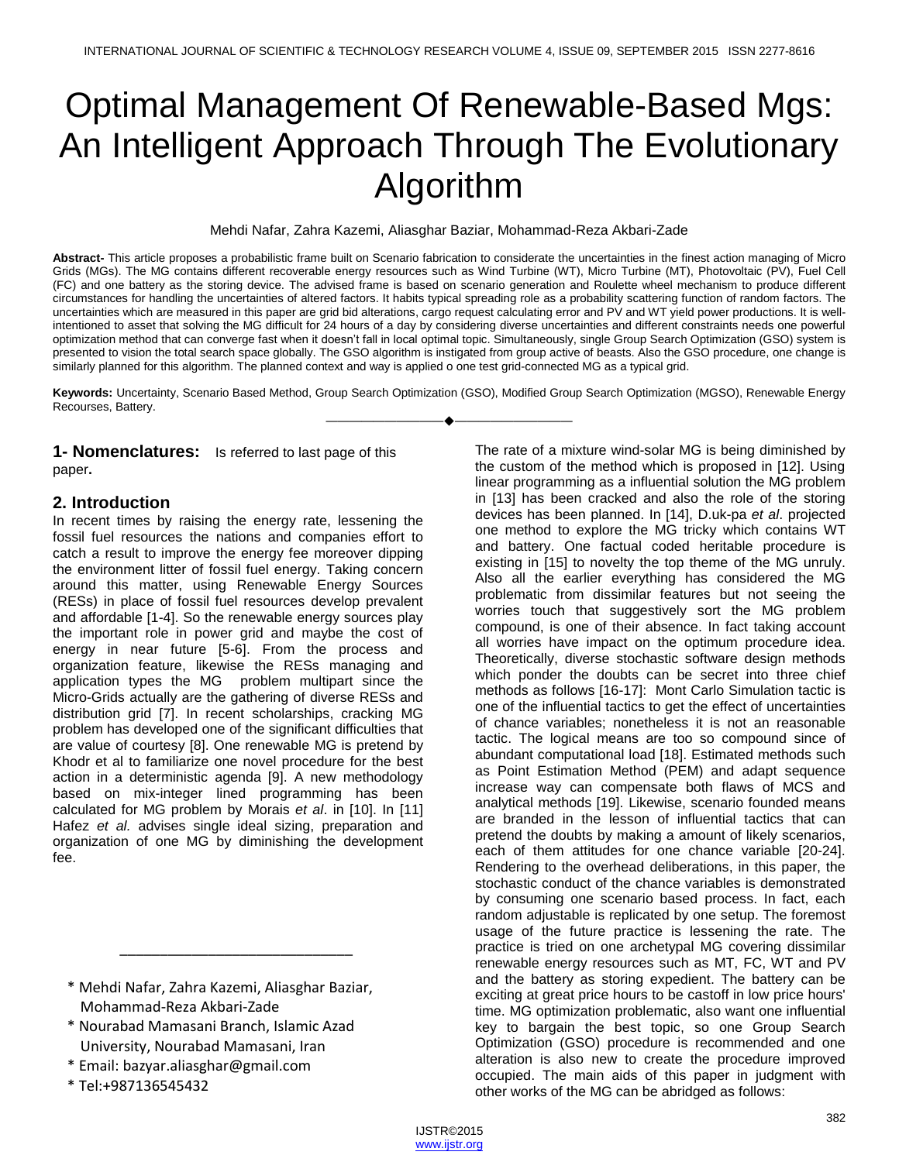# Optimal Management Of Renewable-Based Mgs: An Intelligent Approach Through The Evolutionary Algorithm

Mehdi Nafar, Zahra Kazemi, Aliasghar Baziar, Mohammad-Reza Akbari-Zade

**Abstract-** This article proposes a probabilistic frame built on Scenario fabrication to considerate the uncertainties in the finest action managing of Micro Grids (MGs). The MG contains different recoverable energy resources such as Wind Turbine (WT), Micro Turbine (MT), Photovoltaic (PV), Fuel Cell (FC) and one battery as the storing device. The advised frame is based on scenario generation and Roulette wheel mechanism to produce different circumstances for handling the uncertainties of altered factors. It habits typical spreading role as a probability scattering function of random factors. The uncertainties which are measured in this paper are grid bid alterations, cargo request calculating error and PV and WT yield power productions. It is wellintentioned to asset that solving the MG difficult for 24 hours of a day by considering diverse uncertainties and different constraints needs one powerful optimization method that can converge fast when it doesn't fall in local optimal topic. Simultaneously, single Group Search Optimization (GSO) system is presented to vision the total search space globally. The GSO algorithm is instigated from group active of beasts. Also the GSO procedure, one change is similarly planned for this algorithm. The planned context and way is applied o one test grid-connected MG as a typical grid.

**Keywords:** Uncertainty, Scenario Based Method, Group Search Optimization (GSO), Modified Group Search Optimization (MGSO), Renewable Energy Recourses, Battery. ————————————————————

**1- Nomenclatures:** Is referred to last page of this paper**.**

# **2. Introduction**

In recent times by raising the energy rate, lessening the fossil fuel resources the nations and companies effort to catch a result to improve the energy fee moreover dipping the environment litter of fossil fuel energy. Taking concern around this matter, using Renewable Energy Sources (RESs) in place of fossil fuel resources develop prevalent and affordable [1-4]. So the renewable energy sources play the important role in power grid and maybe the cost of energy in near future [5-6]. From the process and organization feature, likewise the RESs managing and application types the MG problem multipart since the Micro-Grids actually are the gathering of diverse RESs and distribution grid [7]. In recent scholarships, cracking MG problem has developed one of the significant difficulties that are value of courtesy [8]. One renewable MG is pretend by Khodr et al to familiarize one novel procedure for the best action in a deterministic agenda [9]. A new methodology based on mix-integer lined programming has been calculated for MG problem by Morais *et al*. in [10]. In [11] Hafez *et al.* advises single ideal sizing, preparation and organization of one MG by diminishing the development fee.

\* Mehdi Nafar, Zahra Kazemi, Aliasghar Baziar, Mohammad-Reza Akbari-Zade

\_\_\_\_\_\_\_\_\_\_\_\_\_\_\_\_\_\_\_\_\_\_\_\_\_\_\_\_\_

- \* Nourabad Mamasani Branch, Islamic Azad University, Nourabad Mamasani, Iran
- \* Email: bazyar.aliasghar@gmail.com
- \* Tel:+987136545432

The rate of a mixture wind-solar MG is being diminished by the custom of the method which is proposed in [12]. Using linear programming as a influential solution the MG problem in [13] has been cracked and also the role of the storing devices has been planned. In [14], D.uk-pa *et al*. projected one method to explore the MG tricky which contains WT and battery. One factual coded heritable procedure is existing in [15] to novelty the top theme of the MG unruly. Also all the earlier everything has considered the MG problematic from dissimilar features but not seeing the worries touch that suggestively sort the MG problem compound, is one of their absence. In fact taking account all worries have impact on the optimum procedure idea. Theoretically, diverse stochastic software design methods which ponder the doubts can be secret into three chief methods as follows [16-17]: Mont Carlo Simulation tactic is one of the influential tactics to get the effect of uncertainties of chance variables; nonetheless it is not an reasonable tactic. The logical means are too so compound since of abundant computational load [18]. Estimated methods such as Point Estimation Method (PEM) and adapt sequence increase way can compensate both flaws of MCS and analytical methods [19]. Likewise, scenario founded means are branded in the lesson of influential tactics that can pretend the doubts by making a amount of likely scenarios, each of them attitudes for one chance variable [20-24]. Rendering to the overhead deliberations, in this paper, the stochastic conduct of the chance variables is demonstrated by consuming one scenario based process. In fact, each random adjustable is replicated by one setup. The foremost usage of the future practice is lessening the rate. The practice is tried on one archetypal MG covering dissimilar renewable energy resources such as MT, FC, WT and PV and the battery as storing expedient. The battery can be exciting at great price hours to be castoff in low price hours' time. MG optimization problematic, also want one influential key to bargain the best topic, so one Group Search Optimization (GSO) procedure is recommended and one alteration is also new to create the procedure improved occupied. The main aids of this paper in judgment with other works of the MG can be abridged as follows: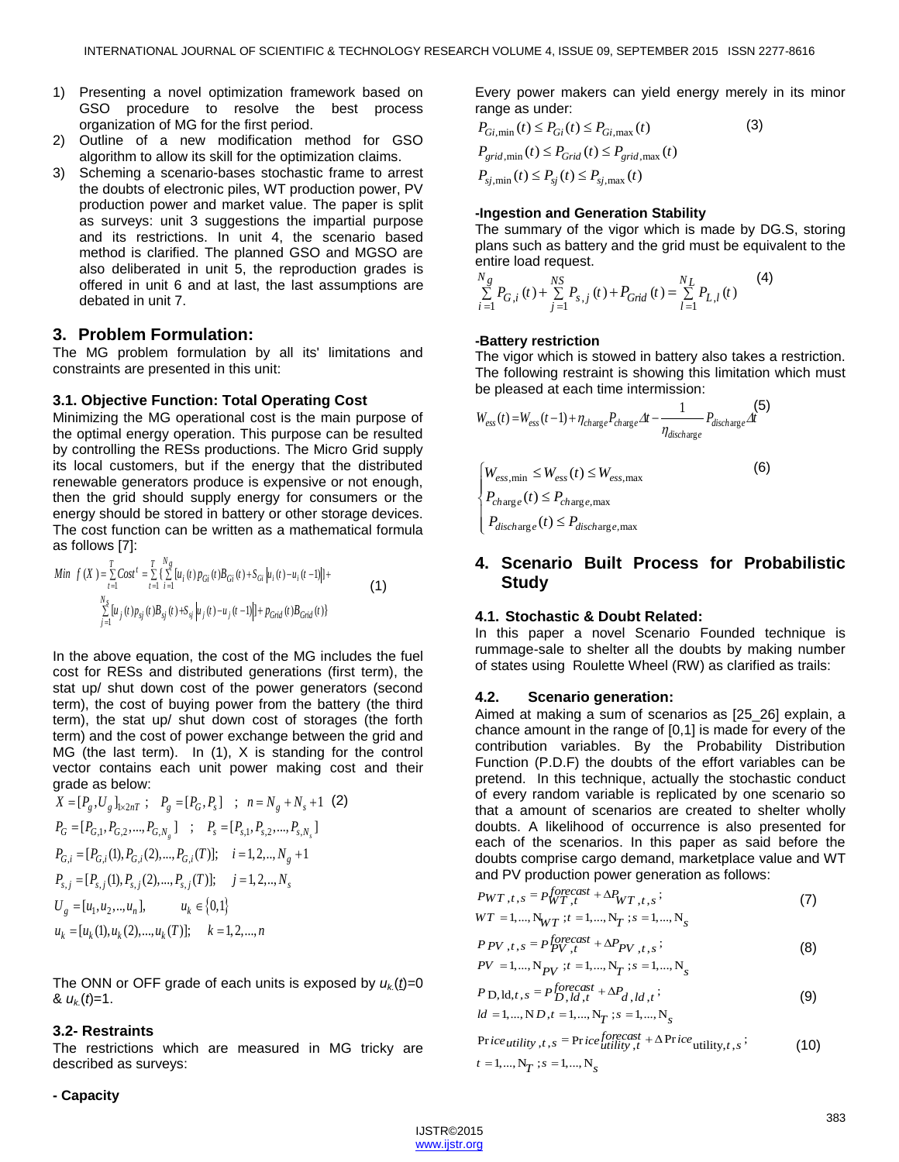- 1) Presenting a novel optimization framework based on GSO procedure to resolve the best process organization of MG for the first period.
- 2) Outline of a new modification method for GSO algorithm to allow its skill for the optimization claims.
- 3) Scheming a scenario-bases stochastic frame to arrest the doubts of electronic piles, WT production power, PV production power and market value. The paper is split as surveys: unit 3 suggestions the impartial purpose and its restrictions. In unit 4, the scenario based method is clarified. The planned GSO and MGSO are also deliberated in unit 5, the reproduction grades is offered in unit 6 and at last, the last assumptions are debated in unit 7.

# **3. Problem Formulation:**

The MG problem formulation by all its' limitations and constraints are presented in this unit:

## **3.1. Objective Function: Total Operating Cost**

Minimizing the MG operational cost is the main purpose of the optimal energy operation. This purpose can be resulted by controlling the RESs productions. The Micro Grid supply its local customers, but if the energy that the distributed renewable generators produce is expensive or not enough, then the grid should supply energy for consumers or the energy should be stored in battery or other storage devices. The cost function can be written as a mathematical formula

**as follows [7]:**  
\nMin 
$$
f(X) = \sum_{t=1}^{T} Cost^t = \sum_{t=1}^{T} \left\{ \sum_{i=1}^{N_g} [u_i(t) p_{Gi}(t) B_{Gi}(t) + S_{Gi} | u_i(t) - u_i(t-1)] \right\} +
$$
  
\n
$$
\sum_{j=1}^{N_g} [u_j(t) p_{sj}(t) B_{sj}(t) + S_{sj} | u_j(t) - u_j(t-1)] + p_{Grid}(t) B_{Grid}(t)
$$
\n(1)

In the above equation, the cost of the MG includes the fuel cost for RESs and distributed generations (first term), the stat up/ shut down cost of the power generators (second term), the cost of buying power from the battery (the third term), the stat up/ shut down cost of storages (the forth term) and the cost of power exchange between the grid and MG (the last term). In (1), X is standing for the control vector contains each unit power making cost and their

grade as below:  
\n
$$
X = [P_g, U_g]_{1 \times 2nT}
$$
;  $P_g = [P_G, P_s]$ ;  $n = N_g + N_s + 1$  (2)  
\n $P_G = [P_{G,1}, P_{G,2}, ..., P_{G,N_g}]$ ;  $P_s = [P_{s,1}, P_{s,2}, ..., P_{s,N_s}]$   
\n $P_{G,i} = [P_{G,i}(1), P_{G,i}(2), ..., P_{G,i}(T)];$   $i = 1, 2, ..., N_g + 1$   
\n $P_{s,j} = [P_{s,j}(1), P_{s,j}(2), ..., P_{s,j}(T)];$   $j = 1, 2, ..., N_s$   
\n $U_g = [u_1, u_2, ..., u_n],$   $u_k \in \{0,1\}$   
\n $u_k = [u_k(1), u_k(2), ..., u_k(T)];$   $k = 1, 2, ..., n$ 

The ONN or OFF grade of each units is exposed by  $u_k(t)=0$  $\& u_k(t)=1.$ 

## **3.2- Restraints**

The restrictions which are measured in MG tricky are described as surveys:

#### **- Capacity**

Every power makers can yield energy merely in its minor

range as under:  
\n
$$
P_{Gi,min}(t) \leq P_{Gi}(t) \leq P_{Gi,max}(t)
$$
\n
$$
P_{grid,min}(t) \leq P_{Grid}(t) \leq P_{grid,max}(t)
$$
\n
$$
P_{sj,min}(t) \leq P_{sj}(t) \leq P_{sj,max}(t)
$$
\n(3)

#### **-Ingestion and Generation Stability**

The summary of the vigor which is made by DG.S, storing plans such as battery and the grid must be equivalent to the entire load request.

$$
\sum_{i=1}^{N_g} P_{G,i}(t) + \sum_{j=1}^{NS} P_{s,j}(t) + P_{Grid}(t) = \sum_{l=1}^{N_L} P_{L,l}(t)
$$
 (4)

#### **-Battery restriction**

The vigor which is stowed in battery also takes a restriction. The following restraint is showing this limitation which must

be pleased at each time intermission:  
\n
$$
W_{ess}(t) = W_{ess}(t-1) + \eta_{charge} P_{charge} \Delta t - \frac{1}{\eta_{discharge}} P_{discharge} \Delta t
$$
\n
$$
\begin{cases}\nW_{ess,min} \le W_{ess}(t) \le W_{ess,max} & (6) \\
P_{charge}(t) \le P_{charge,max}\n\end{cases}
$$

 $\left[ P_{\text{discharge}}(t) \leq P_{\text{discharge},\text{max}} \right]$ 

# **4. Scenario Built Process for Probabilistic Study**

### **4.1. Stochastic & Doubt Related:**

In this paper a novel Scenario Founded technique is rummage-sale to shelter all the doubts by making number of states using [Roulette Wheel](http://www.google.com/aclk?sa=l&ai=C7a8sDAJtVNylIeygsAfM84GgAuKvvagFirrEjHvByrsJEAEoBGDJBqABvva0ywPIAQGqBCRP0OMJViHYQnmwi_xIR0iphSsh2l4rX99p0IRc3k1UmgIxe1aAB6qJyzSIBwGQBwKoB6a-Gw&num=1&sig=AOD64_1lTHnbcw5X3wMQDdrNpoZyrb7PTA&rct=j&q=&ved=0CJwBENEM&adurl=http://www.walmart.com/search/search-ng.do%3Fsearch_query%3DRoulette%2520Wheel%26adid%3D22222222220202684756%26wmlspartner%3Dwmtlabs%26wl0%3De%26wl1%3Dg%26wl2%3Dc%26wl3%3D33167338178%26wl4%3D%26veh%3Dsem) (RW) as clarified as trails:

#### **4.2. Scenario generation:**

Aimed at making a sum of scenarios as [25\_26] explain, a chance amount in the range of [0,1] is made for every of the contribution variables. By the Probability Distribution Function (P.D.F) the doubts of the effort variables can be pretend. In this technique, actually the stochastic conduct of every random variable is replicated by one scenario so that a amount of scenarios are created to shelter wholly doubts. A likelihood of occurrence is also presented for each of the scenarios. In this paper as said before the doubts comprise cargo demand, marketplace value and WT

and PV production power generation as follows:  
\n
$$
PWT_{,t,s} = P_{WT,t}^{forecast} + \Delta P_{WT,t,s};
$$
\n
$$
WT = 1,..., N_{WT}; t = 1,..., N_T; s = 1,..., N_s
$$
\n(7)

$$
P_{f} = P_{f}^{f}
$$
  
\n
$$
P_{f} = P_{f}^{f}
$$
  
\n
$$
P_{f} = 1, ..., N_{p}^{f}
$$
  
\n
$$
P_{f} = 1, ..., N_{p}^{f}
$$
  
\n
$$
P_{f} = 1, ..., N_{p}^{f}
$$
  
\n
$$
S = 1, ..., N_{S}
$$
  
\n(8)

$$
P D, \mathrm{Id}, t, s = P_{D, id, t}^{forecast} + \Delta P_{d, id, t};
$$
  

$$
ld = 1, ..., ND, t = 1, ..., N_T; s = 1, ..., N_s
$$
 (9)

$$
ld = 1,..., ND, t = 1,..., NT ; s = 1,..., Ns
$$
  
Price *utility*, t, s = Price<sup>forecast</sup><sub>utility</sub>, t + ΔPrice *utility*, t, s ; (10)  
t = 1,..., N<sub>T</sub> ; s = 1,..., N<sub>s</sub>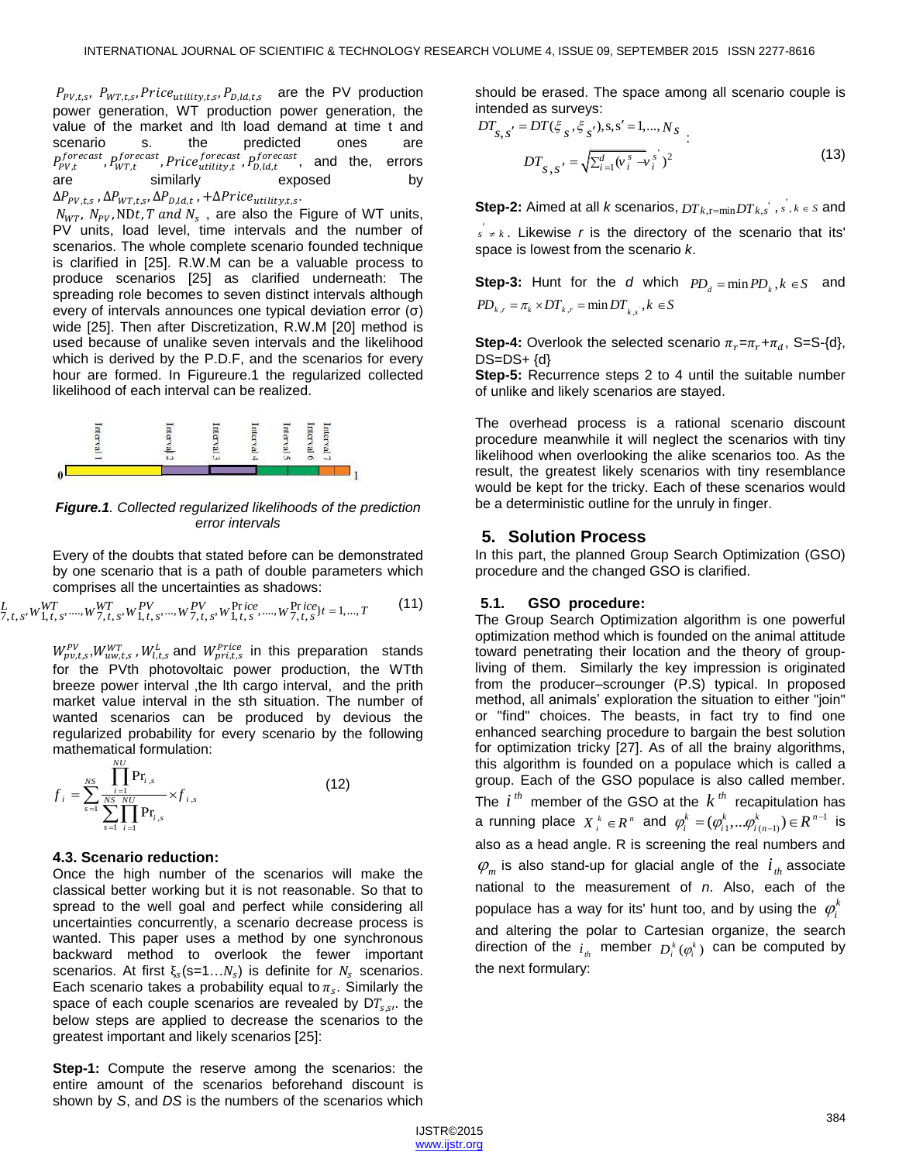$P_{\text{PV},ts}$ ,  $P_{\text{WT},ts}$ , Price<sub>utility,ts</sub>, P<sub>D,ld,ts</sub> are the PV production power generation, WT production power generation, the value of the market and lth load demand at time t and scenario s. the predicted ones are  $P_{\text{p}v}^{forecast}$ ,  $P_{\text{w}r}^{forecast}$ ,  $Price_{utility}^{forecast}$ ,  $P_{\text{D}ldt}^{forecast}$ , and the, errors are similarly exposed by  $\Delta P_{\text{PV},t,s}$ ,  $\Delta P_{\text{WT},t,s}$ ,  $\Delta P_{\text{D},ld,t}$ ,  $+\Delta \text{Price}_{utility,t,s}$ .

 $N_{WT}$ ,  $N_{PV}$ , NDt, T and  $N_s$ , are also the Figure of WT units, PV units, load level, time intervals and the number of scenarios. The whole complete scenario founded technique is clarified in [25]. R.W.M can be a valuable process to produce scenarios [25] as clarified underneath: The spreading role becomes to seven distinct intervals although every of intervals announces one typical deviation error (σ) wide [25]. Then after Discretization, R.W.M [20] method is used because of unalike seven intervals and the likelihood which is derived by the P.D.F, and the scenarios for every hour are formed. In Figureure.1 the regularized collected likelihood of each interval can be realized.



*Figure.1. Collected regularized likelihoods of the prediction error intervals*

Every of the doubts that stated before can be demonstrated comprises all the uncertainties as shadows:

by one scenario that is a path of double parameters which comprises all the uncertainties as shadows: 
$$
L_{7,t,s}, w_{1,t,s}^{WT}, \ldots, w_{7,t,s}^{PV}, w_{1,t,s}^{PV}, \ldots, w_{7,t,s}^{PV}, w_{1,t,s}^{Pr}, \ldots, w_{7,t,s}^{Pr}, w_{1,t,s}^{Pr}, \ldots, w_{7,t,s}^{Pr}, \ldots, w_{7,t,s}^{Pr}, \ldots, w_{7,t,s}^{Pr}, \ldots, w_{7,t,s}^{Pr}, \ldots, w_{7,t,s}^{Pr}, \ldots, w_{7,t,s}^{Pr}, \ldots, w_{7,t,s}^{Pr}, \ldots, w_{7,t,s}^{Pr}, \ldots, w_{7,t,s}^{Pr}, \ldots, w_{7,t,s}^{Pr}, \ldots, w_{7,t,s}^{Pr}, \ldots, w_{7,t,s}^{Pr}, \ldots, w_{7,t,s}^{Pr}, \ldots, w_{7,t,s}^{Pr}, \ldots, w_{7,t,s}^{Pr}, \ldots, w_{7,t,s}^{Pr}, \ldots, w_{7,t,s}^{Pr}, \ldots, w_{7,t,s}^{Pr}, \ldots, w_{7,t,s}^{Pr}, \ldots, w_{7,t,s}^{Pr}, \ldots, w_{7,t,s}^{Pr}, \ldots, w_{7,t,s}^{Pr}, \ldots, w_{7,t,s}^{Pr}, \ldots, w_{7,t,s}^{Pr}, \ldots, w_{7,t,s}^{Pr}, \ldots, w_{7,t,s}^{Pr}, \ldots, w_{7,t,s}^{Pr}, \ldots, w_{7,t,s}^{Pr}, \ldots, w_{7,t,s}^{Pr}, \ldots, w_{7,t,s}^{Pr}, \ldots, w_{7,t,s}^{Pr}, \ldots, w_{7,t,s}^{Pr}, \ldots, w_{7,t,s}^{Pr}, \ldots, w_{7,t,s}^{Pr}, \ldots, w_{7,t,s}^{Pr}, \ldots, w_{7,t,s}^{Pr}, \ldots, w_{7,t,s}^{Pr}, \ldots, w_{7,t,s}^{Pr}, \ldots, w_{7,t,s}^{Pr}, \ldots, w_{7,t,s}^{Pr}, \ldots, w_{7,t,s}^{Pr}, \ldots, w_{7,t,s}^{Pr}, \ldots, w_{7,t,s}^{Pr}, \ldots, w_{7,t,s}^{Pr}, \ldots, w_{7,t,s}^{Pr}, \ldots, w_{7,t,s}^{Pr}, \ldots, w_{7,t,s}^{Pr}, \ldots, w_{7,t,s}^{Pr}, \ldots, w_{7,t,s}^{Pr}, \ldots, w_{7,t,s}^{Pr}, \ldots, w_{7,t,s
$$

 $W_{\text{nw}t}^{PV}$ ,  $W_{\text{uw}t,s}^{WT}$ ,  $W_{\text{lt}}^{L}$  and  $W_{\text{w}t}^{Price}$  in this preparation stands for the PVth photovoltaic power production, the WTth breeze power interval , the lth cargo interval, and the prith market value interval in the sth situation. The number of wanted scenarios can be produced by devious the regularized probability for every scenario by the following mathematical formulation: *NU*

$$
f_{i} = \sum_{s=1}^{NS} \frac{\prod_{i=1}^{N} Pr_{i,s}}{\sum_{s=1}^{NS} \prod_{i=1}^{NU} Pr_{i,s}} \times f_{i,s}
$$
(12)

#### **4.3. Scenario reduction:**

Once the high number of the scenarios will make the classical better working but it is not reasonable. So that to spread to the well goal and perfect while considering all uncertainties concurrently, a scenario decrease process is wanted. This paper uses a method by one synchronous backward method to overlook the fewer important scenarios. At first  $\xi_s$  (s=1... $N_s$ ) is definite for  $N_s$  scenarios. Each scenario takes a probability equal to  $\pi_s$ . Similarly the space of each couple scenarios are revealed by  $DT_{s.s.}$  the below steps are applied to decrease the scenarios to the greatest important and likely scenarios [25]:

**Step-1:** Compute the reserve among the scenarios: the entire amount of the scenarios beforehand discount is shown by *S*, and *DS* is the numbers of the scenarios which should be erased. The space among all scenario couple is

intended as surveys:  
\n
$$
DT_{s,s'} = DT(\xi_s, \xi_s, s, s' = 1, ..., N_s)
$$
\n
$$
DT_{s,s'} = \sqrt{\sum_{i=1}^d (v_i^s - v_i^s)^2}
$$
\n(13)

**Step-2:** Aimed at all *k* scenarios,  $DT_{k,r=\min}DT_{k,s}$ ,  $s, k \in S$  and

 $s' \neq k$ . Likewise *r* is the directory of the scenario that its' space is lowest from the scenario *k*.

**Step-3:** Hunt for the *d* which  $PD_d = \min PD_k, k \in S$  and **Step-3:** Hunt for the *d* which  $PD_{k,r} = \pi_k \times DT_{k,r} = \min DT_{k,s}, k \in S$ 

**Step-4:** Overlook the selected scenario  $\pi_r = \pi_r + \pi_d$ , S=S-{d},  $DS=DS+ \{d\}$ 

**Step-5:** Recurrence steps 2 to 4 until the suitable number of unlike and likely scenarios are stayed.

The overhead process is a rational scenario discount procedure meanwhile it will neglect the scenarios with tiny likelihood when overlooking the alike scenarios too. As the result, the greatest likely scenarios with tiny resemblance would be kept for the tricky. Each of these scenarios would be a deterministic outline for the unruly in finger.

# **5. Solution Process**

In this part, the planned Group Search Optimization (GSO) procedure and the changed GSO is clarified.

# **5.1. GSO procedure:**

The Group Search Optimization algorithm is one powerful optimization method which is founded on the animal attitude toward penetrating their location and the theory of groupliving of them. Similarly the key impression is originated from the producer–scrounger (P.S) typical. In proposed method, all animals' exploration the situation to either "join" or "find" choices. The beasts, in fact try to find one enhanced searching procedure to bargain the best solution for optimization tricky [27]. As of all the brainy algorithms, this algorithm is founded on a populace which is called a group. Each of the GSO populace is also called member. The  $i^{th}$  member of the GSO at the  $k^{th}$  recapitulation has a running place  $X_i^k \in \mathbb{R}^n$  and  $\varphi_i^k = (\varphi_{i1}^k, ..., \varphi_{i(n-1)}^k) \in \mathbb{R}^{n-1}$  is also as a head angle. R is screening the real numbers and  $\varphi_m$  is also stand-up for glacial angle of the  $i_{th}$  associate national to the measurement of *n*. Also, each of the populace has a way for its' hunt too, and by using the  $\,\phi_i^k\,$ and altering the polar to Cartesian organize, the search direction of the  $i_{th}$  member  $D_i^k(\phi_i^k)$  can be computed by the next formulary:

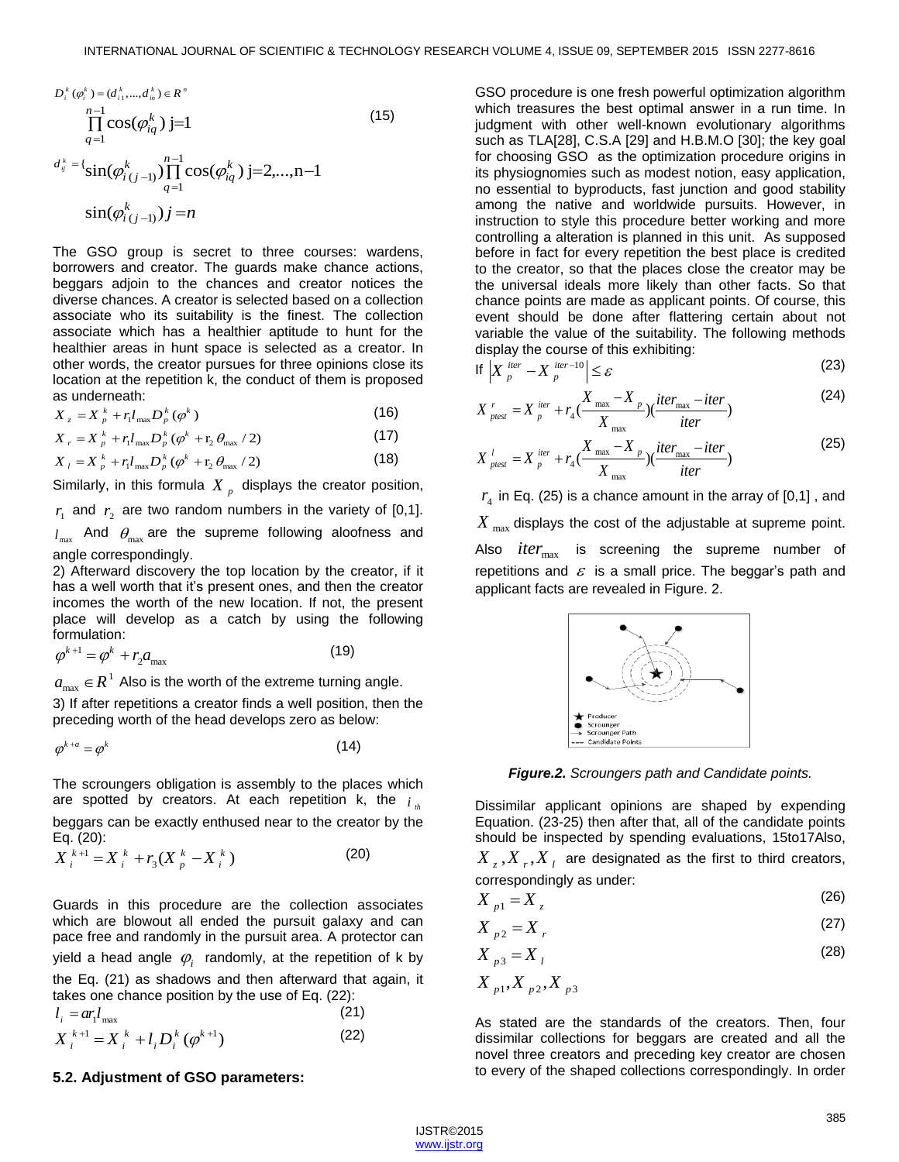$$
D_i^k(\varphi_i^k) = (d_{i_1}^k, ..., d_{in}^k) \in R^n
$$
  
\n
$$
\prod_{q=1}^{n-1} \cos(\varphi_{iq}^k) j = 1
$$
  
\n
$$
d_j^k = \{ \sin(\varphi_{i(j-1)}^k) \prod_{q=1}^{n-1} \cos(\varphi_{iq}^k) j = 2, ..., n-1 \}
$$
  
\n
$$
\sin(\varphi_{i(j-1)}^k) j = n
$$
\n(15)

The GSO group is secret to three courses: wardens, borrowers and creator. The guards make chance actions, beggars adjoin to the chances and creator notices the diverse chances. A creator is selected based on a collection associate who its suitability is the finest. The collection associate which has a healthier aptitude to hunt for the healthier areas in hunt space is selected as a creator. In other words, the creator pursues for three opinions close its location at the repetition k, the conduct of them is proposed as underneath:

$$
X_z = X_p^k + r_l l_{\text{max}} D_p^k \left( \phi^k \right)
$$
 (16)

$$
X_{z} = X_{p}^{k} + r_{1} l_{\max} D_{p}^{k} (\varphi^{k})
$$
\n
$$
X_{r} = X_{p}^{k} + r_{1} l_{\max} D_{p}^{k} (\varphi^{k} + r_{2} \theta_{\max} / 2)
$$
\n(17)

$$
X_{r} = X_{p}^{k} + r_{1} l_{\max} D_{p}^{k} (\varphi^{k} + r_{2} \theta_{\max} / 2)
$$
\n
$$
X_{l} = X_{p}^{k} + r_{l} l_{\max} D_{p}^{k} (\varphi^{k} + r_{2} \theta_{\max} / 2)
$$
\n(18)

Similarly, in this formula  $X$ <sub>p</sub> displays the creator position,

 $r_1$  and  $r_2$  are two random numbers in the variety of [0,1].

 $l_{\scriptscriptstyle\rm max}$  And  $\theta_{\scriptscriptstyle\rm max}$  are the supreme following aloofness and angle correspondingly.

2) Afterward discovery the top location by the creator, if it has a well worth that it's present ones, and then the creator incomes the worth of the new location. If not, the present place will develop as a catch by using the following formulation:

$$
\varphi^{k+1} = \varphi^k + r_2 a_{\text{max}} \tag{19}
$$

 $a_{\scriptscriptstyle\rm max}\in\!R^{\scriptscriptstyle\rm I}$  Also is the worth of the extreme turning angle.

3) If after repetitions a creator finds a well position, then the preceding worth of the head develops zero as below:

$$
\varphi^{k+a} = \varphi^k \tag{14}
$$

The scroungers obligation is assembly to the places which are spotted by creators. At each repetition k, the  $i_{\mu}$ beggars can be exactly enthused near to the creator by the Eq. (20):

Eq. (20):  
\n
$$
X_i^{k+1} = X_i^k + r_3(X_p^k - X_i^k)
$$
\n(20)

Guards in this procedure are the collection associates which are blowout all ended the pursuit galaxy and can pace free and randomly in the pursuit area. A protector can yield a head angle  $\varphi_{i}^{\phantom{\dag}}$  randomly, at the repetition of k by the Eq. (21) as shadows and then afterward that again, it takes one chance position by the use of Eq. (22): The scroungers obligation is assembly to the places which<br>
The scroungers obligation is assembly to the places which<br>
Equation. (23-25) then are sphered by creators. At each repetition k, the  $i_a$ <br>
beggars can be exactly

$$
l_i = ar_l l_{\max}
$$
  
\n
$$
X_i^{k+1} = X_i^k + l_i D_i^k (\varphi^{k+1})
$$
\n(22)

#### **5.2. Adjustment of GSO parameters:**

GSO procedure is one fresh powerful optimization algorithm which treasures the best optimal answer in a run time. In judgment with other well-known evolutionary algorithms such as TLA[28], C.S.A [29] and H.B.M.O [30]; the key goal for choosing GSO as the optimization procedure origins in its physiognomies such as modest notion, easy application, no essential to byproducts, fast junction and good stability among the native and worldwide pursuits. However, in instruction to style this procedure better working and more controlling a alteration is planned in this unit. As supposed before in fact for every repetition the best place is credited to the creator, so that the places close the creator may be the universal ideals more likely than other facts. So that chance points are made as applicant points. Of course, this event should be done after flattering certain about not variable the value of the suitability. The following methods display the course of this exhibiting:

$$
\left| \mathbf{X} \right|_p^{\text{iter}} - X_p^{\text{iter}-10} \le \varepsilon \tag{23}
$$

$$
\begin{aligned}\n\text{If } \left| X \right|_p^{\text{iter}} - X \right|_p^{\text{iter}} & \leq \varepsilon \tag{24} \\
X \Big|_{\text{prest}}^r & = X \Big|_p^{\text{iter}} + r_4 \big( \frac{X_{\text{max}} - X}{X_{\text{max}}} \big) \big( \frac{\text{iter}_{\text{max}} - \text{iter}}{\text{iter}} \big) \\
& \tag{24}\n\end{aligned}
$$

$$
X_{\text{ptest}}^l = X_{\text{p}}^{\text{iter}} + r_4 \left( \frac{X_{\text{max}} - X_{\text{p}}}{X_{\text{max}}} \right) \left( \frac{\text{iter}}{\text{iter}} - \text{iter}} \right)
$$
(25)

 $r_4$  in Eq. (25) is a chance amount in the array of  $[0,1]$  , and  $X_{\rm max}$  displays the cost of the adjustable at supreme point. Also *iter*<sub>max</sub> is screening the supreme number of repetitions and  $\varepsilon$  is a small price. The beggar's path and applicant facts are revealed in Figure. 2.



*Figure.2. Scroungers path and Candidate points.*

Dissimilar applicant opinions are shaped by expending Equation. (23-25) then after that, all of the candidate points should be inspected by spending evaluations, 15to17Also,

 $X_{z}$ ,  $X_{r}$ ,  $X_{l}$  are designated as the first to third creators, correspondingly as under:

$$
X_{p1} = X_z \tag{26}
$$

$$
X_{p2} = X_r \tag{27}
$$

$$
X_{p3} = X_l \tag{28}
$$

$$
X_{p1}, X_{p2}, X_{p3}
$$

As stated are the standards of the creators. Then, four dissimilar collections for beggars are created and all the novel three creators and preceding key creator are chosen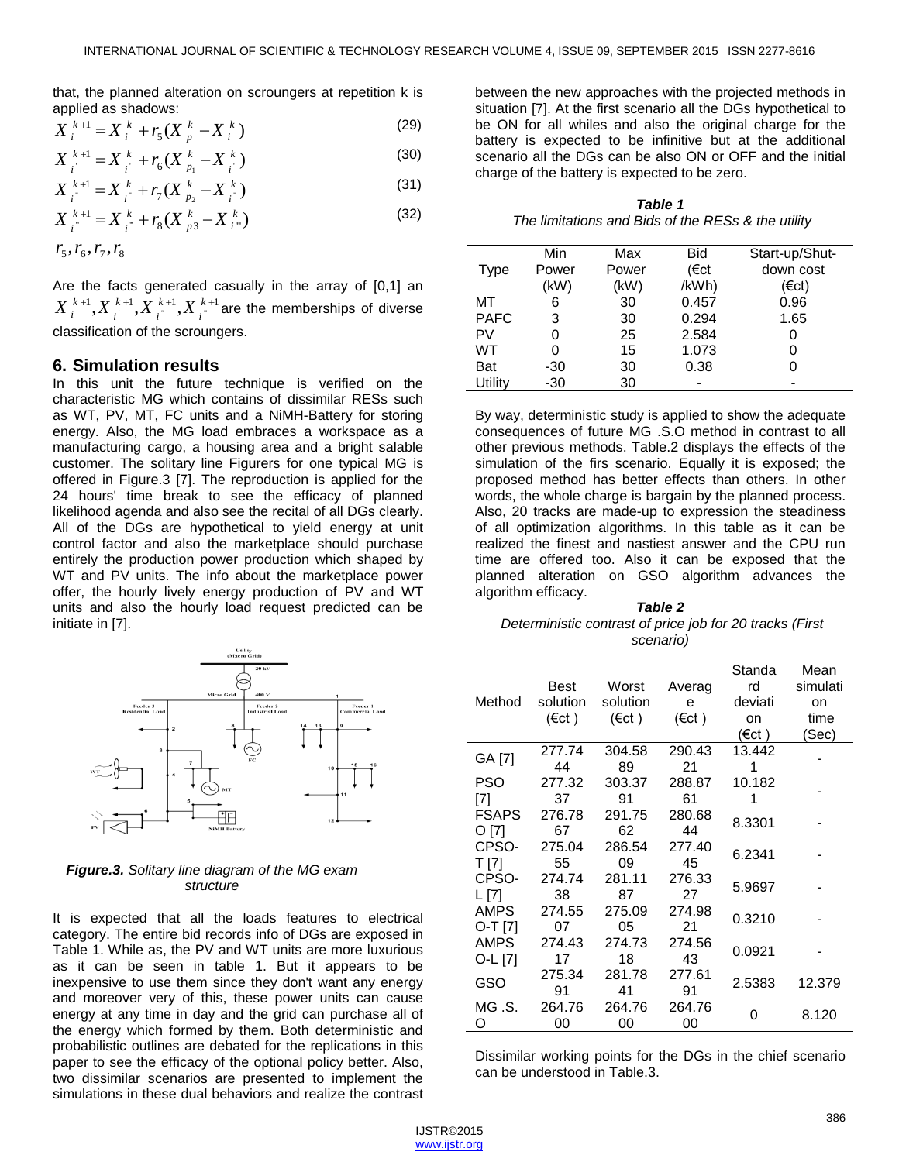that, the planned alteration on scroungers at repetition k is

applied as shadows:  
\n
$$
X_i^{k+1} = X_i^k + r_s(X_p^k - X_i^k)
$$
\n(29)

$$
X_{i}^{k+1} = X_{i}^{k} + r_{6}(X_{p_{1}}^{k} - X_{i}^{k})
$$
\n(30)

$$
X_{i}^{k+1} = X_{i}^{k} + r_{7}(X_{p_{2}}^{k} - X_{i}^{k})
$$
\n(31)

$$
X_{i}^{k+1} = X_{i}^{k} + r_{8}(X_{p3}^{k} - X_{i}^{k})
$$
\n(32)

$$
r_5,r_6,r_7,r_8
$$

Are the facts generated casually in the array of [0,1] an  $\{k+1}_i, X^{k+1}_i, X^{k+1}_i, X^{k+1}_i$  $X^{k+1}_{i}$ , $X^{k+1}_{i}$ , $X^{k+1}_{i}$ , $X^{k+1}_{i}$  are the memberships of diverse classification of the scroungers.

#### **6. Simulation results**

In this unit the future technique is verified on the characteristic MG which contains of dissimilar RESs such as WT, PV, MT, FC units and a NiMH-Battery for storing energy. Also, the MG load embraces a workspace as a manufacturing cargo, a housing area and a bright salable customer. The solitary line Figurers for one typical MG is offered in Figure.3 [7]. The reproduction is applied for the 24 hours' time break to see the efficacy of planned likelihood agenda and also see the recital of all DGs clearly. All of the DGs are hypothetical to yield energy at unit control factor and also the marketplace should purchase entirely the production power production which shaped by WT and PV units. The info about the marketplace power offer, the hourly lively energy production of PV and WT units and also the hourly load request predicted can be initiate in [7].



## *Figure.3. Solitary line diagram of the MG exam structure*

It is expected that all the loads features to electrical category. The entire bid records info of DGs are exposed in Table 1. While as, the PV and WT units are more luxurious as it can be seen in table 1. But it appears to be inexpensive to use them since they don't want any energy and moreover very of this, these power units can cause energy at any time in day and the grid can purchase all of the energy which formed by them. Both deterministic and probabilistic outlines are debated for the replications in this paper to see the efficacy of the optional policy better. Also, two dissimilar scenarios are presented to implement the simulations in these dual behaviors and realize the contrast

between the new approaches with the projected methods in situation [7]. At the first scenario all the DGs hypothetical to be ON for all whiles and also the original charge for the battery is expected to be infinitive but at the additional scenario all the DGs can be also ON or OFF and the initial charge of the battery is expected to be zero.

| <b>Table 1</b>                                     |
|----------------------------------------------------|
| The limitations and Bids of the RESs & the utility |

| Type        | Min<br>Power<br>(kW) | Max<br>Power<br>(kW) | Bid<br>(€ct<br>/kWh) | Start-up/Shut-<br>down cost<br>(€ct) |
|-------------|----------------------|----------------------|----------------------|--------------------------------------|
| МT          | 6                    | 30                   | 0.457                | 0.96                                 |
| <b>PAFC</b> | 3                    | 30                   | 0.294                | 1.65                                 |
| PV          |                      | 25                   | 2.584                | 0                                    |
| WT          | 0                    | 15                   | 1.073                | 0                                    |
| Bat         | $-30$                | 30                   | 0.38                 | 0                                    |
| Utility     | $-30$                | 30                   |                      |                                      |

By way, deterministic study is applied to show the adequate consequences of future MG .S.O method in contrast to all other previous methods. Table.2 displays the effects of the simulation of the firs scenario. Equally it is exposed; the proposed method has better effects than others. In other words, the whole charge is bargain by the planned process. Also, 20 tracks are made-up to expression the steadiness of all optimization algorithms. In this table as it can be realized the finest and nastiest answer and the CPU run time are offered too. Also it can be exposed that the planned alteration on GSO algorithm advances the algorithm efficacy.

#### *Table 2 Deterministic contrast of price job for 20 tracks (First scenario)*

|              |                                                                                                                                                                  |                 |                 | Standa  | Mean     |  |
|--------------|------------------------------------------------------------------------------------------------------------------------------------------------------------------|-----------------|-----------------|---------|----------|--|
|              |                                                                                                                                                                  | Worst           | Averag          | rd      | simulati |  |
| Method       |                                                                                                                                                                  | solution        | e               | deviati | on       |  |
|              | (€ct)                                                                                                                                                            | $(\epsilon ct)$ | $(\epsilon ct)$ | on      | time     |  |
|              | Best<br>solution<br>277.74<br>44<br>277.32<br>37<br>276.78<br>67<br>275.04<br>55<br>274.74<br>38<br>274.55<br>07<br>274.43<br>17<br>275.34<br>91<br>264.76<br>00 |                 |                 | (€ct )  | (Sec)    |  |
|              |                                                                                                                                                                  | 304.58          | 290.43          | 13.442  |          |  |
| GA [7]       |                                                                                                                                                                  | 89              | 21              | 1       |          |  |
| PSO          |                                                                                                                                                                  | 303.37          | 288.87          | 10.182  |          |  |
| [7]          |                                                                                                                                                                  | 91              | 61              | 1       |          |  |
| <b>FSAPS</b> |                                                                                                                                                                  | 291.75          | 280.68          |         |          |  |
| O [7]        |                                                                                                                                                                  | 62              | 44              | 8.3301  |          |  |
| CPSO-        |                                                                                                                                                                  | 286.54          | 277.40          |         |          |  |
| T [7]        |                                                                                                                                                                  | 09              | 45              | 6.2341  |          |  |
| CPSO-        |                                                                                                                                                                  | 281.11          | 276.33          |         |          |  |
| L [7]        |                                                                                                                                                                  | 87              | 27              | 5.9697  |          |  |
| <b>AMPS</b>  |                                                                                                                                                                  | 275.09          | 274.98          |         |          |  |
| O-T [7]      |                                                                                                                                                                  | 05              | 21              | 0.3210  |          |  |
| <b>AMPS</b>  |                                                                                                                                                                  | 274.73          | 274.56          |         |          |  |
| O-L [7]      |                                                                                                                                                                  | 18              | 43              | 0.0921  |          |  |
|              |                                                                                                                                                                  | 281.78          | 277.61          |         |          |  |
| GSO          |                                                                                                                                                                  | 41              | 91              | 2.5383  | 12.379   |  |
| MG .S.       |                                                                                                                                                                  | 264.76          | 264.76          |         |          |  |
| O            |                                                                                                                                                                  | 00              | 00              | ი       | 8.120    |  |

Dissimilar working points for the DGs in the chief scenario can be understood in Table.3.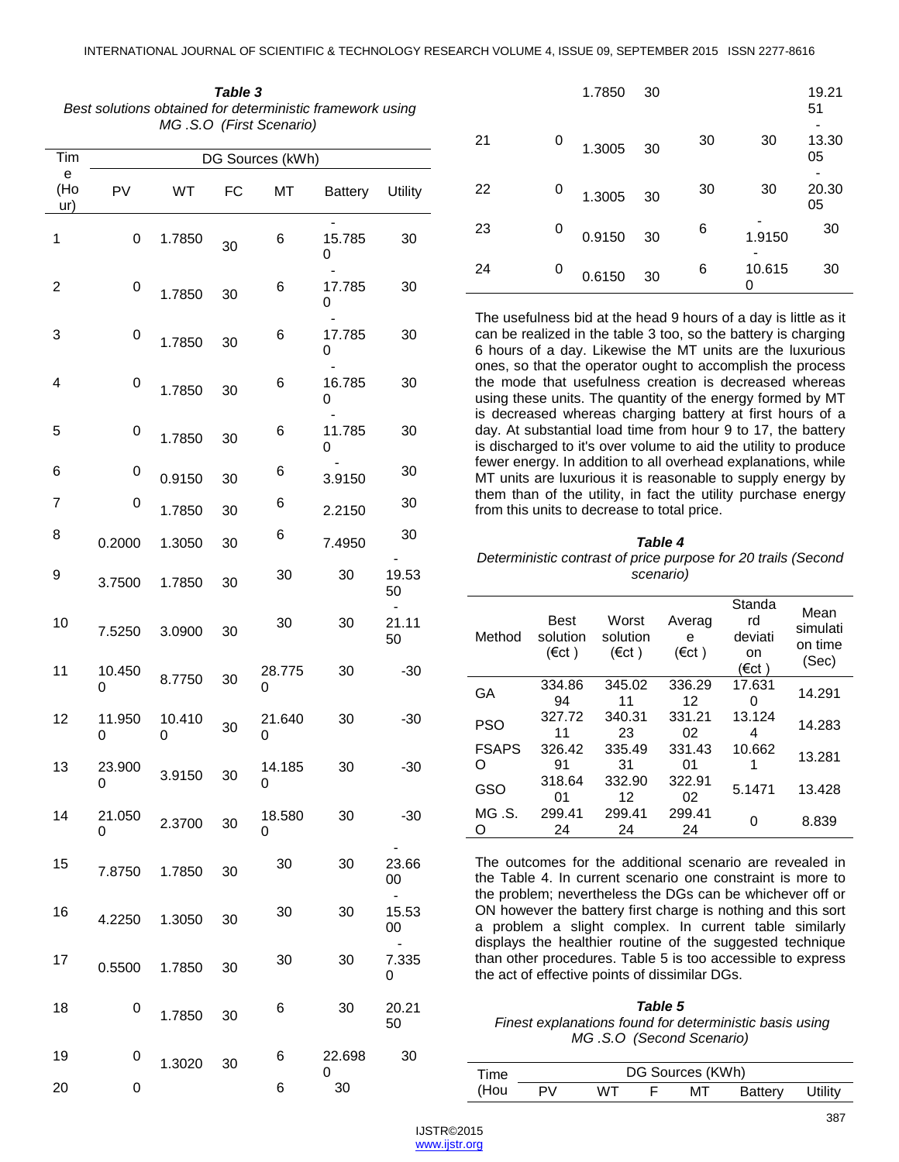| Table 3                                                   |
|-----------------------------------------------------------|
| Best solutions obtained for deterministic framework using |
| MG.S.O (First Scenario)                                   |

| Tim             |             |             |    | DG Sources (kWh) |             |                               |
|-----------------|-------------|-------------|----|------------------|-------------|-------------------------------|
| е<br>(Ho<br>ur) | PV          | WT          | FC | МT               | Battery     | Utility                       |
| 1               | 0           | 1.7850      | 30 | 6                | 15.785<br>0 | 30                            |
| 2               | 0           | 1.7850      | 30 | 6                | 17.785<br>0 | 30                            |
| 3               | 0           | 1.7850      | 30 | 6                | 17.785<br>0 | 30                            |
| 4               | 0           | 1.7850      | 30 | 6                | 16.785<br>0 | 30                            |
| 5               | 0           | 1.7850      | 30 | 6                | 11.785<br>0 | 30                            |
| 6               | 0           | 0.9150      | 30 | 6                | 3.9150      | 30                            |
| 7               | 0           | 1.7850      | 30 | 6                | 2.2150      | 30                            |
| 8               | 0.2000      | 1.3050      | 30 | 6                | 7.4950      | 30                            |
| 9               | 3.7500      | 1.7850      | 30 | 30               | 30          | 19.53<br>50                   |
| 10              | 7.5250      | 3.0900      | 30 | 30               | 30          | 21.11<br>50                   |
| 11              | 10.450<br>0 | 8.7750      | 30 | 28.775<br>0      | 30          | $-30$                         |
| 12              | 11.950<br>0 | 10.410<br>0 | 30 | 21.640<br>0      | 30          | $-30$                         |
| 13              | 23.900<br>0 | 3.9150      | 30 | 14.185<br>0      | 30          | $-30$                         |
| 14              | 21.050<br>0 | 2.3700      | 30 | 18.580<br>0      | 30          | $-30$                         |
| 15              | 7.8750      | 1.7850      | 30 | 30               | 30          | 23.66<br>00                   |
| 16              | 4.2250      | 1.3050      | 30 | 30               | 30          | $\blacksquare$<br>15.53<br>00 |
| 17              | 0.5500      | 1.7850      | 30 | 30               | 30          | 7.335<br>0                    |
| 18              | 0           | 1.7850      | 30 | 6                | 30          | 20.21<br>50                   |
| 19              | 0           | 1.3020      | 30 | 6                | 22.698      | 30                            |
| 20              | 0           |             |    | 6                | 0<br>30     |                               |

|    |   | 1.7850 | 30 |    |             | 19.21<br>51 |
|----|---|--------|----|----|-------------|-------------|
| 21 | 0 | 1.3005 | 30 | 30 | 30          | 13.30<br>05 |
| 22 | 0 | 1.3005 | 30 | 30 | 30          | 20.30<br>05 |
| 23 | 0 | 0.9150 | 30 | 6  | 1.9150      | 30          |
| 24 | 0 | 0.6150 | 30 | 6  | 10.615<br>0 | 30          |

The usefulness bid at the head 9 hours of a day is little as it can be realized in the table 3 too, so the battery is charging 6 hours of a day. Likewise the MT units are the luxurious ones, so that the operator ought to accomplish the process the mode that usefulness creation is decreased whereas using these units. The quantity of the energy formed by MT is decreased whereas charging battery at first hours of a day. At substantial load time from hour 9 to 17, the battery is discharged to it's over volume to aid the utility to produce fewer energy. In addition to all overhead explanations, while MT units are luxurious it is reasonable to supply energy by them than of the utility, in fact the utility purchase energy from this units to decrease to total price.

#### *Table 4*

### *Deterministic contrast of price purpose for 20 trails (Second scenario)*

| Method            | Best<br>solution<br>$(\epsilon ct)$ | Worst<br>solution<br>$(\epsilon ct)$ | Averag<br>е<br>$(\epsilon ct)$ | Standa<br>rd<br>deviati<br>on<br>(€ct ) | Mean<br>simulati<br>on time<br>(Sec) |
|-------------------|-------------------------------------|--------------------------------------|--------------------------------|-----------------------------------------|--------------------------------------|
| GА                | 334.86<br>94                        | 345.02<br>11                         | 336.29<br>12                   | 17.631<br>0                             | 14.291                               |
| PSO               | 327.72<br>11                        | 340.31<br>23                         | 331.21<br>02                   | 13.124<br>4                             | 14.283                               |
| <b>FSAPS</b><br>O | 326.42<br>91                        | 335.49<br>31                         | 331.43<br>01                   | 10.662                                  | 13.281                               |
| GSO               | 318.64<br>01                        | 332.90<br>12                         | 322.91<br>02                   | 5.1471                                  | 13.428                               |
| MG .S.<br>O       | 299.41<br>24                        | 299.41<br>24                         | 299.41<br>24                   | ი                                       | 8.839                                |

The outcomes for the additional scenario are revealed in the Table 4. In current scenario one constraint is more to the problem; nevertheless the DGs can be whichever off or ON however the battery first charge is nothing and this sort a problem a slight complex. In current table similarly displays the healthier routine of the suggested technique than other procedures. Table 5 is too accessible to express the act of effective points of dissimilar DGs.

#### *Table 5*

*Finest explanations found for deterministic basis using MG .S.O (Second Scenario)*

| Time | DG Sources (KWh) |    |  |    |                |         |  |  |  |  |
|------|------------------|----|--|----|----------------|---------|--|--|--|--|
| (Hou | PV.              | wт |  | МT | <b>Battery</b> | Utility |  |  |  |  |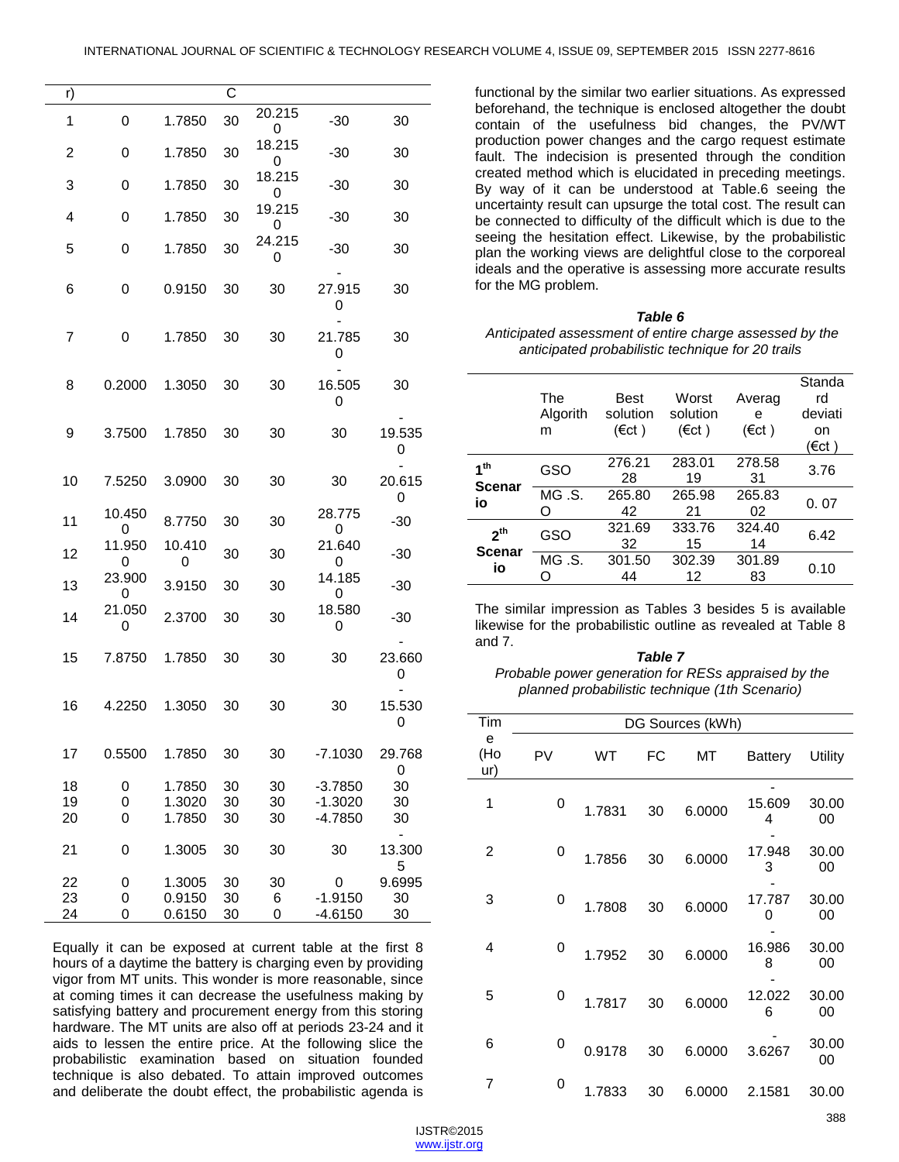| r) |             |             | С  |             |             |                  |
|----|-------------|-------------|----|-------------|-------------|------------------|
| 1  | 0           | 1.7850      | 30 | 20.215<br>0 | $-30$       | 30               |
| 2  | 0           | 1.7850      | 30 | 18.215<br>0 | $-30$       | 30               |
| 3  | 0           | 1.7850      | 30 | 18.215<br>0 | $-30$       | 30               |
| 4  | 0           | 1.7850      | 30 | 19.215<br>0 | $-30$       | 30               |
| 5  | 0           | 1.7850      | 30 | 24.215<br>0 | $-30$       | 30               |
| 6  | 0           | 0.9150      | 30 | 30          | 27.915<br>0 | 30               |
| 7  | 0           | 1.7850      | 30 | 30          | 21.785<br>0 | 30               |
| 8  | 0.2000      | 1.3050      | 30 | 30          | 16.505<br>0 | 30               |
| 9  | 3.7500      | 1.7850      | 30 | 30          | 30          | 19.535<br>0      |
| 10 | 7.5250      | 3.0900      | 30 | 30          | 30          | 20.615<br>0      |
| 11 | 10.450<br>0 | 8.7750      | 30 | 30          | 28.775<br>0 | $-30$            |
| 12 | 11.950<br>0 | 10.410<br>0 | 30 | 30          | 21.640<br>0 | $-30$            |
| 13 | 23.900<br>0 | 3.9150      | 30 | 30          | 14.185<br>0 | $-30$            |
| 14 | 21.050<br>0 | 2.3700      | 30 | 30          | 18.580<br>0 | $-30$            |
| 15 | 7.8750      | 1.7850      | 30 | 30          | 30          | 23.660<br>0      |
| 16 | 4.2250      | 1.3050      | 30 | 30          | 30          | 15.530<br>0      |
| 17 | 0.5500      | 1.7850      | 30 | 30          | $-7.1030$   | 29.768<br>0      |
| 18 | 0           | 1.7850      | 30 | 30          | $-3.7850$   | 30               |
| 19 | 0           | 1.3020      | 30 | 30          | $-1.3020$   | 30               |
| 20 | 0           | 1.7850      | 30 | 30          | $-4.7850$   | 30               |
| 21 | 0           | 1.3005      | 30 | 30          | 30          | -<br>13.300<br>5 |
| 22 | 0           | 1.3005      | 30 | 30          | 0           | 9.6995           |
| 23 | 0           | 0.9150      | 30 | 6           | $-1.9150$   | 30               |
| 24 | 0           | 0.6150      | 30 | 0           | $-4.6150$   | 30               |

Equally it can be exposed at current table at the first 8 hours of a daytime the battery is charging even by providing vigor from MT units. This wonder is more reasonable, since at coming times it can decrease the usefulness making by satisfying battery and procurement energy from this storing hardware. The MT units are also off at periods 23-24 and it aids to lessen the entire price. At the following slice the probabilistic examination based on situation founded technique is also debated. To attain improved outcomes and deliberate the doubt effect, the probabilistic agenda is

functional by the similar two earlier situations. As expressed beforehand, the technique is enclosed altogether the doubt contain of the usefulness bid changes, the PV/WT production power changes and the cargo request estimate fault. The indecision is presented through the condition created method which is elucidated in preceding meetings. By way of it can be understood at Table.6 seeing the uncertainty result can upsurge the total cost. The result can be connected to difficulty of the difficult which is due to the seeing the hesitation effect. Likewise, by the probabilistic plan the working views are delightful close to the corporeal ideals and the operative is assessing more accurate results for the MG problem.

#### *Table 6*

*Anticipated assessment of entire charge assessed by the anticipated probabilistic technique for 20 trails* 

|                                        | The<br>Algorith<br>m | Best<br>solution<br>$(\epsilon ct)$ | Worst<br>solution<br>(€ct) | Averag<br>е<br>$(\epsilon ct)$ | Standa<br>rd<br>deviati<br>on<br>(€ct ) |
|----------------------------------------|----------------------|-------------------------------------|----------------------------|--------------------------------|-----------------------------------------|
| 1 <sup>th</sup>                        | GSO                  | 276.21<br>28                        | 283.01<br>19               | 278.58<br>31                   | 3.76                                    |
| <b>Scenar</b><br>io                    | MG.S.<br>∩           | 265.80<br>42                        | 265.98<br>21               | 265.83<br>02                   | 0.07                                    |
| 2 <sup>th</sup><br><b>Scenar</b><br>io | GSO                  | 321.69<br>32                        | 333.76<br>15               | 324.40<br>14                   | 6.42                                    |
|                                        | MG.S.                | 301.50<br>44                        | 302.39<br>12               | 301.89<br>83                   | 0.10                                    |

The similar impression as Tables 3 besides 5 is available likewise for the probabilistic outline as revealed at Table 8 and 7.

#### *Table 7 Probable power generation for RESs appraised by the planned probabilistic technique (1th Scenario)*

| Tim             |    |        |    | DG Sources (kWh) |                |             |
|-----------------|----|--------|----|------------------|----------------|-------------|
| e<br>(Ho<br>ur) | PV | WT     | FC | МT               | <b>Battery</b> | Utility     |
| 1               | 0  | 1.7831 | 30 | 6.0000           | 15.609<br>4    | 30.00<br>00 |
| 2               | 0  | 1.7856 | 30 | 6.0000           | 17.948<br>3    | 30.00<br>00 |
| 3               | 0  | 1.7808 | 30 | 6.0000           | 17.787<br>0    | 30.00<br>00 |
| 4               | 0  | 1.7952 | 30 | 6.0000           | 16.986<br>8    | 30.00<br>00 |
| 5               | 0  | 1.7817 | 30 | 6.0000           | 12.022<br>6    | 30.00<br>00 |
| 6               | 0  | 0.9178 | 30 | 6.0000           | 3.6267         | 30.00<br>00 |
| 7               | 0  | 1.7833 | 30 | 6.0000           | 2.1581         | 30.00       |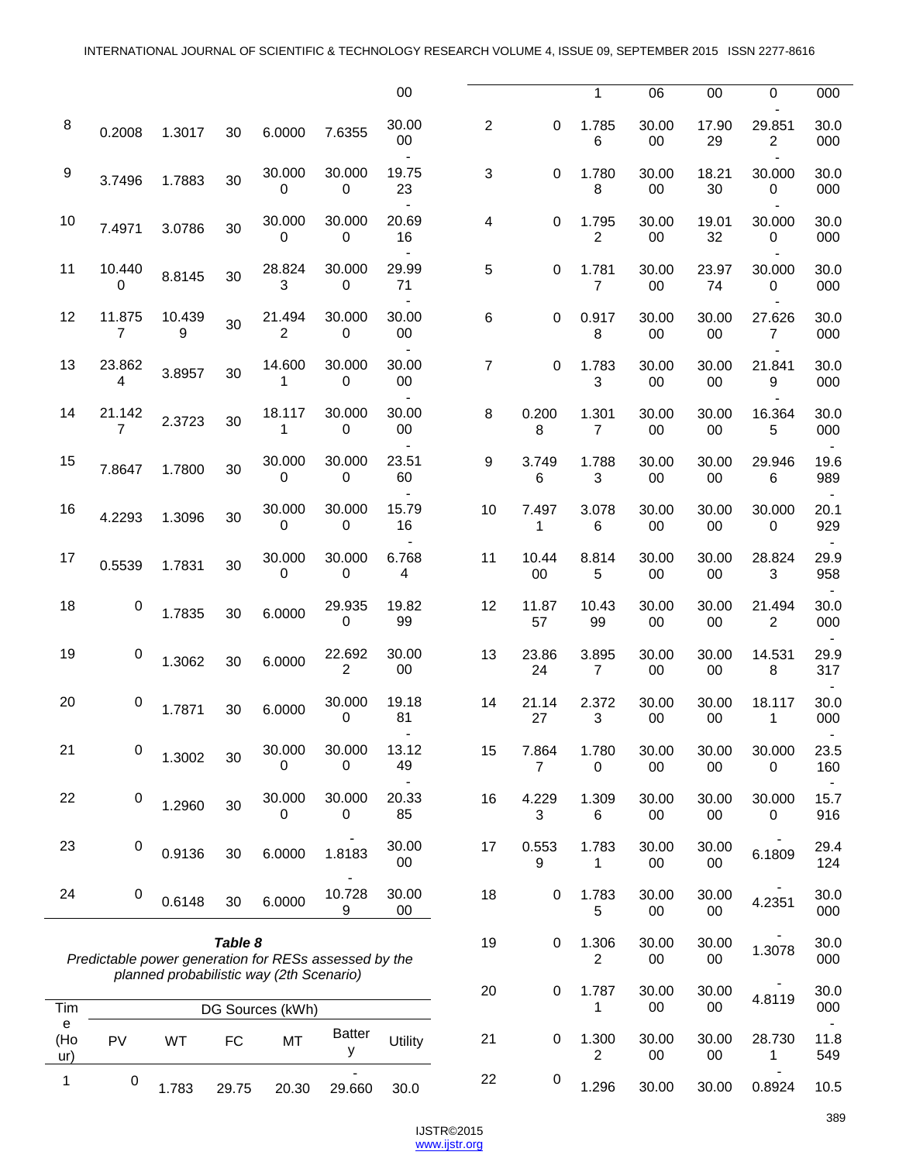|                  |                                                                                                              |             |       |                        |                       | 00              |                |                       | 1                       | 06              | 00              | $\mathbf 0$              | 000         |
|------------------|--------------------------------------------------------------------------------------------------------------|-------------|-------|------------------------|-----------------------|-----------------|----------------|-----------------------|-------------------------|-----------------|-----------------|--------------------------|-------------|
| 8                | 0.2008                                                                                                       | 1.3017      | 30    | 6.0000                 | 7.6355                | 30.00<br>$00\,$ | $\overline{2}$ | 0                     | 1.785<br>6              | 30.00<br>$00\,$ | 17.90<br>29     | 29.851<br>$\overline{2}$ | 30.0<br>000 |
| $\boldsymbol{9}$ | 3.7496                                                                                                       | 1.7883      | 30    | 30.000<br>$\mathbf 0$  | 30.000<br>0           | 19.75<br>23     | 3              | $\Omega$              | 1.780<br>8              | 30.00<br>$00\,$ | 18.21<br>30     | 30.000<br>$\mathbf 0$    | 30.0<br>000 |
| 10               | 7.4971                                                                                                       | 3.0786      | 30    | 30.000<br>0            | 30.000<br>0           | 20.69<br>16     | 4              | 0                     | 1.795<br>$\overline{2}$ | 30.00<br>$00\,$ | 19.01<br>32     | 30.000<br>0              | 30.0<br>000 |
| 11               | 10.440<br>$\Omega$                                                                                           | 8.8145      | 30    | 28.824<br>3            | 30.000<br>0           | 29.99<br>71     | 5              | 0                     | 1.781<br>$\overline{7}$ | 30.00<br>00     | 23.97<br>74     | 30.000<br>0              | 30.0<br>000 |
| 12               | 11.875<br>$\overline{7}$                                                                                     | 10.439<br>9 | 30    | 21.494<br>2            | 30.000<br>0           | 30.00<br>$00\,$ | 6              | 0                     | 0.917<br>8              | 30.00<br>00     | 30.00<br>$00\,$ | 27.626<br>7              | 30.0<br>000 |
| 13               | 23.862<br>$\overline{4}$                                                                                     | 3.8957      | 30    | 14.600<br>$\mathbf{1}$ | 30.000<br>$\mathbf 0$ | 30.00<br>$00\,$ | $\overline{7}$ | $\Omega$              | 1.783<br>3              | 30.00<br>$00\,$ | 30.00<br>$00\,$ | 21.841<br>9              | 30.0<br>000 |
| 14               | 21.142<br>$\overline{7}$                                                                                     | 2.3723      | 30    | 18.117<br>1            | 30.000<br>0           | 30.00<br>$00\,$ | 8              | 0.200<br>8            | 1.301<br>$\overline{7}$ | 30.00<br>$00\,$ | 30.00<br>$00\,$ | 16.364<br>5              | 30.0<br>000 |
| 15               | 7.8647                                                                                                       | 1.7800      | 30    | 30.000<br>0            | 30.000<br>$\mathbf 0$ | 23.51<br>60     | 9              | 3.749<br>6            | 1.788<br>3              | 30.00<br>00     | 30.00<br>00     | 29.946<br>6              | 19.6<br>989 |
| 16               | 4.2293                                                                                                       | 1.3096      | 30    | 30.000<br>0            | 30.000<br>0           | 15.79<br>16     | 10             | 7.497<br>$\mathbf{1}$ | 3.078<br>6              | 30.00<br>$00\,$ | 30.00<br>$00\,$ | 30.000<br>$\mathbf 0$    | 20.1<br>929 |
| 17               | 0.5539                                                                                                       | 1.7831      | 30    | 30.000<br>$\Omega$     | 30.000<br>$\Omega$    | 6.768<br>4      | 11             | 10.44<br>$00\,$       | 8.814<br>5              | 30.00<br>$00\,$ | 30.00<br>$00\,$ | 28.824<br>3              | 29.9<br>958 |
| 18               | 0                                                                                                            | 1.7835      | 30    | 6.0000                 | 29.935<br>$\mathbf 0$ | 19.82<br>99     | 12             | 11.87<br>57           | 10.43<br>99             | 30.00<br>00     | 30.00<br>$00\,$ | 21.494<br>$\overline{2}$ | 30.0<br>000 |
| 19               | 0                                                                                                            | 1.3062      | 30    | 6.0000                 | 22.692<br>2           | 30.00<br>00     | 13             | 23.86<br>24           | 3.895<br>$\overline{7}$ | 30.00<br>00     | 30.00<br>00     | 14.531<br>8              | 29.9<br>317 |
| 20               | 0                                                                                                            | 1.7871      | 30    | 6.0000                 | 30.000<br>0           | 19.18<br>81     | 14             | 21.14<br>27           | 2.372<br>3              | 30.00<br>00     | 30.00<br>00     | 18.117<br>$\mathbf{1}$   | 30.0<br>000 |
| 21               | 0                                                                                                            | 1.3002      | 30    | 30.000<br>0            | 30.000<br>0           | 13.12<br>49     | 15             | 7.864<br>7            | 1.780<br>0              | 30.00<br>00     | 30.00<br>$00\,$ | 30.000<br>0              | 23.5<br>160 |
| 22               | $\pmb{0}$                                                                                                    | 1.2960      | 30    | 30.000<br>0            | 30.000<br>0           | 20.33<br>85     | 16             | 4.229<br>3            | 1.309<br>6              | 30.00<br>$00\,$ | 30.00<br>$00\,$ | 30.000<br>0              | 15.7<br>916 |
| 23               | 0                                                                                                            | 0.9136      | 30    | 6.0000                 | 1.8183                | 30.00<br>$00\,$ | 17             | 0.553<br>9            | 1.783<br>1              | 30.00<br>$00\,$ | 30.00<br>00     | 6.1809                   | 29.4<br>124 |
| 24               | $\pmb{0}$                                                                                                    | 0.6148      | 30    | 6.0000                 | 10.728<br>9           | 30.00<br>$00\,$ | 18             | 0                     | 1.783<br>5              | 30.00<br>$00\,$ | 30.00<br>$00\,$ | 4.2351                   | 30.0<br>000 |
|                  | Table 8<br>Predictable power generation for RESs assessed by the<br>planned probabilistic way (2th Scenario) |             |       | 19                     | 0                     | 1.306<br>2      | 30.00<br>00    | 30.00<br>00           | 1.3078                  | 30.0<br>000     |                 |                          |             |
| Tim              |                                                                                                              |             |       | DG Sources (kWh)       |                       |                 | 20             | 0                     | 1.787<br>1              | 30.00<br>00     | 30.00<br>$00\,$ | 4.8119                   | 30.0<br>000 |
| е<br>(Ho<br>ur)  | PV                                                                                                           | WT          | FC    | MT                     | <b>Batter</b><br>у    | Utility         | 21             | 0                     | 1.300<br>2              | 30.00<br>00     | 30.00<br>$00\,$ | 28.730<br>1              | 11.8<br>549 |
| 1                | $\pmb{0}$                                                                                                    | 1.783       | 29.75 | 20.30                  | 29.660                | 30.0            | 22             | $\pmb{0}$             | 1.296                   | 30.00           | 30.00           | 0.8924                   | 10.5        |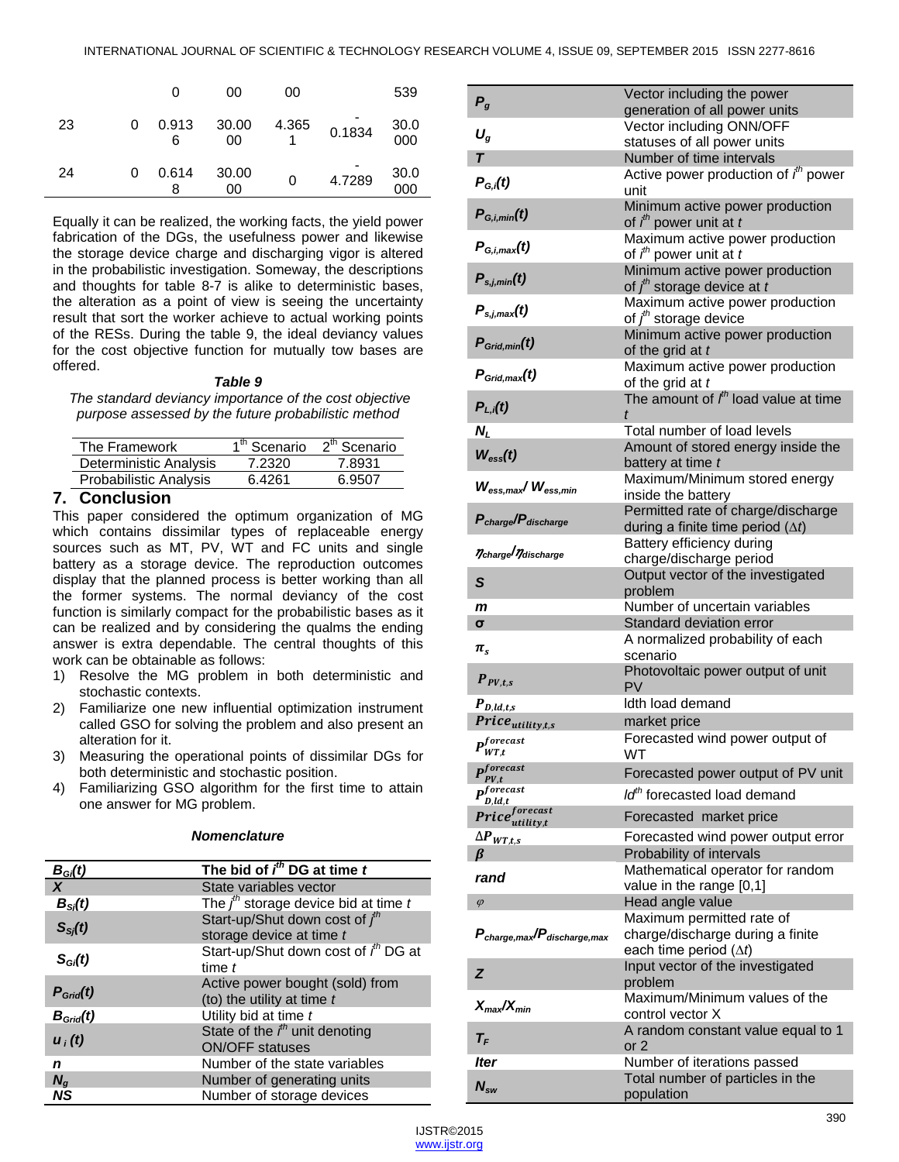|    |   | 0          | 00          | 00    |        | 539                |
|----|---|------------|-------------|-------|--------|--------------------|
| 23 | 0 | 0.913<br>6 | 30.00<br>00 | 4.365 | 0.1834 | $\frac{30.0}{000}$ |
| 24 | 0 | 0.614<br>8 | 30.00<br>00 | 0     | 4.7289 | $\frac{30.0}{000}$ |

Equally it can be realized, the working facts, the yield power fabrication of the DGs, the usefulness power and likewise the storage device charge and discharging vigor is altered in the probabilistic investigation. Someway, the descriptions and thoughts for table 8-7 is alike to deterministic bases, the alteration as a point of view is seeing the uncertainty result that sort the worker achieve to actual working points of the RESs. During the table 9, the ideal deviancy values for the cost objective function for mutually tow bases are offered.

#### *Table 9*

*The standard deviancy importance of the cost objective purpose assessed by the future probabilistic method*

| The Framework          | 1 <sup>th</sup> Scenario | 2 <sup>th</sup> Scenario |
|------------------------|--------------------------|--------------------------|
| Deterministic Analysis | 7.2320                   | 7.8931                   |
| Probabilistic Analysis | 6.4261                   | 6.9507                   |
|                        |                          |                          |

# **7. Conclusion**

This paper considered the optimum organization of MG which contains dissimilar types of replaceable energy sources such as MT, PV, WT and FC units and single battery as a storage device. The reproduction outcomes display that the planned process is better working than all the former systems. The normal deviancy of the cost function is similarly compact for the probabilistic bases as it can be realized and by considering the qualms the ending answer is extra dependable. The central thoughts of this work can be obtainable as follows:

- 1) Resolve the MG problem in both deterministic and stochastic contexts.
- 2) Familiarize one new influential optimization instrument called GSO for solving the problem and also present an alteration for it.
- 3) Measuring the operational points of dissimilar DGs for both deterministic and stochastic position.
- 4) Familiarizing GSO algorithm for the first time to attain one answer for MG problem.

# *Nomenclature*

| $B_{Gi}(t)$             | The bid of $ith$ DG at time $t$                               |
|-------------------------|---------------------------------------------------------------|
| $\overline{\mathbf{X}}$ | State variables vector                                        |
| $B_{\rm Si}(t)$         | The $j^{th}$ storage device bid at time t                     |
| $S_{S_i}(t)$            | Start-up/Shut down cost of $fth$<br>storage device at time t  |
| $S_{Gi}(t)$             | Start-up/Shut down cost of ith DG at<br>time $t$              |
| $P_{Grid}(t)$           | Active power bought (sold) from<br>(to) the utility at time t |
| $B_{Grid}(t)$           | Utility bid at time t                                         |
| $u_i(t)$                | State of the $ith$ unit denoting<br><b>ON/OFF</b> statuses    |
| n                       | Number of the state variables                                 |
| $N_{\alpha}$            | Number of generating units                                    |
| NS                      | Number of storage devices                                     |

| $P_g$                                    | Vector including the power                                                |
|------------------------------------------|---------------------------------------------------------------------------|
|                                          | generation of all power units<br>Vector including ONN/OFF                 |
| $U_g$                                    | statuses of all power units                                               |
| $\overline{\mathbf{r}}$                  | Number of time intervals                                                  |
|                                          | Active power production of $i^{th}$ power                                 |
| $P_{G,i}(t)$                             | unit                                                                      |
| $P_{G,i,min}(t)$                         | Minimum active power production<br>of $ith$ power unit at t               |
| $P_{G.l.max}(t)$                         | Maximum active power production<br>of $ith$ power unit at t               |
| $P_{s,j,min}(t)$                         | Minimum active power production<br>of $j^{\text{th}}$ storage device at t |
| $P_{s,j,max}(t)$                         | Maximum active power production<br>of $jth$ storage device                |
| $P_{Grid,min}(t)$                        | Minimum active power production<br>of the grid at t                       |
| $P_{Grid.max}(t)$                        | Maximum active power production<br>of the grid at t                       |
| $P_{L,i}(t)$                             | The amount of $Ith$ load value at time                                    |
| N,                                       | Total number of load levels                                               |
| $W_{\rm ess}(t)$                         | Amount of stored energy inside the                                        |
|                                          | battery at time t                                                         |
| $W_{\rm ess,max}/W_{\rm ess,min}$        | Maximum/Minimum stored energy<br>inside the battery                       |
|                                          | Permitted rate of charge/discharge                                        |
| $P_{charge}/P_{discharge}$               | during a finite time period $(\Delta t)$                                  |
| ncharge naischarge                       | Battery efficiency during                                                 |
|                                          | charge/discharge period                                                   |
| S                                        | Output vector of the investigated<br>problem                              |
|                                          |                                                                           |
| m                                        | Number of uncertain variables                                             |
| $\sigma$                                 | Standard deviation error                                                  |
| $\pi_{\rm s}$                            | A normalized probability of each<br>scenario                              |
| $P_{PV,t,s}$                             | Photovoltaic power output of unit<br>PV                                   |
| $P_{D,ld,t,s}$                           | Idth load demand                                                          |
| Price <sub>utility,t,s</sub>             | market price                                                              |
| $P_{WT,t}^{forecast}$                    | Forecasted wind power output of<br>WT                                     |
| $\boldsymbol{p}^{forecast}$<br>$PV_{,t}$ | Forecasted power output of PV unit                                        |
| $\boldsymbol{p}^{forecast}$              | Id <sup>th</sup> forecasted load demand                                   |
| D, ld, t                                 |                                                                           |
| $Price_{utility, t}^{forecast}$          | Forecasted market price                                                   |
| $\Delta P_{WT,t,s}$<br>В                 | Forecasted wind power output error<br>Probability of intervals            |
|                                          | Mathematical operator for random                                          |
| rand                                     | value in the range [0,1]                                                  |
| $\varphi$                                | Head angle value                                                          |
|                                          | Maximum permitted rate of                                                 |
| $P_{charge,max}/P_{discharge,max}$       | charge/discharge during a finite<br>each time period $(\Delta t)$         |
| Z                                        | Input vector of the investigated<br>problem                               |
|                                          | Maximum/Minimum values of the                                             |
| $X_{max}/X_{min}$                        | control vector X                                                          |
| $T_F$                                    | A random constant value equal to 1<br>or 2                                |
| lter                                     | Number of iterations passed<br>Total number of particles in the           |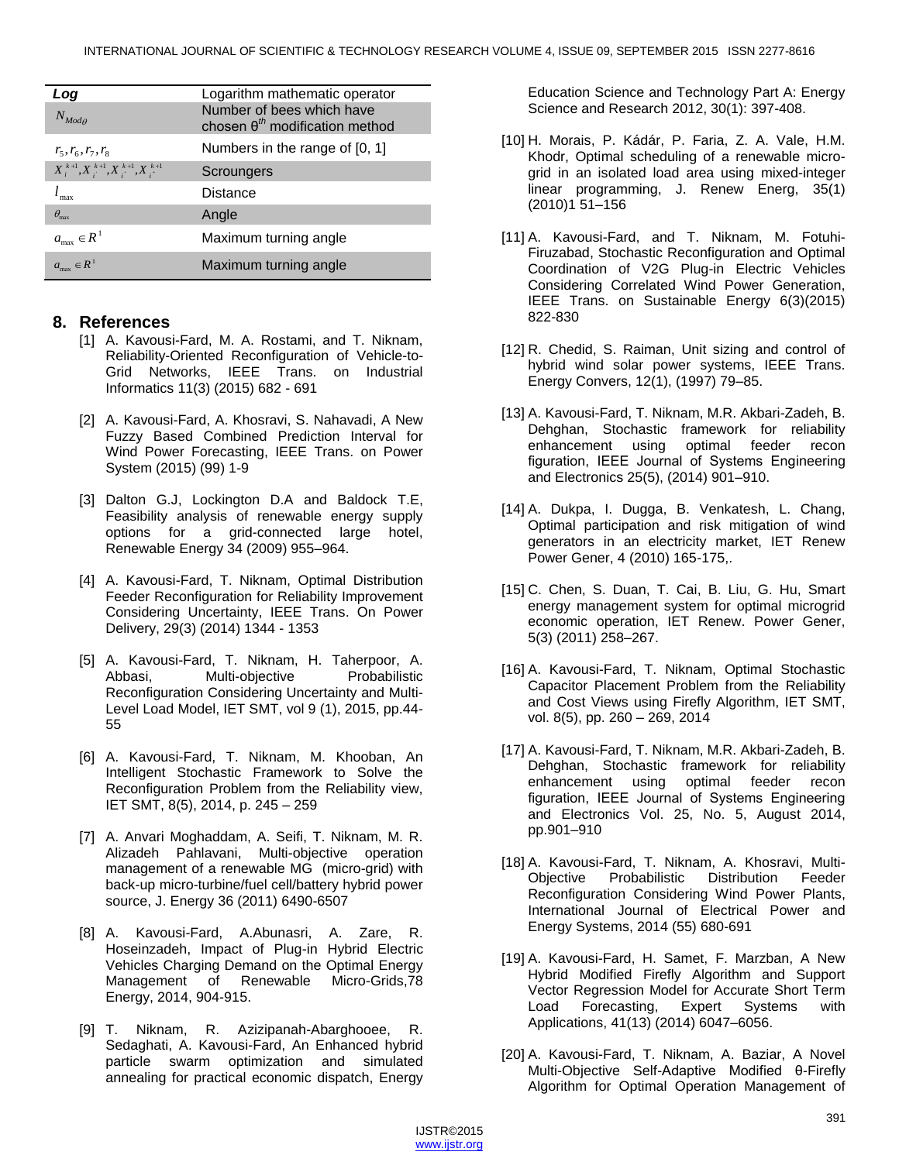| Log                                          | Logarithm mathematic operator                                                |
|----------------------------------------------|------------------------------------------------------------------------------|
| $N_{Mod}$                                    | Number of bees which have<br>chosen $\theta^{\text{th}}$ modification method |
| $r_{5}, r_{6}, r_{7}, r_{8}$                 | Numbers in the range of [0, 1]                                               |
| $X_i^{k+1}, X_i^{k+1}, X_i^{k+1}, X_i^{k+1}$ | Scroungers                                                                   |
| $l_{\text{max}}$                             | Distance                                                                     |
| $\theta_{\rm max}$                           | Angle                                                                        |
| $a_{\max} \in R^1$                           | Maximum turning angle                                                        |
| $a_{\max} \in R^1$                           | Maximum turning angle                                                        |

# **8. References**

- [1] A. Kavousi-Fard, M. A. Rostami, and T. Niknam, Reliability-Oriented Reconfiguration of Vehicle-to-Grid Networks, IEEE Trans. on Industrial Informatics 11(3) (2015) 682 - 691
- [2] A. Kavousi-Fard, A. Khosravi, S. Nahavadi, A New Fuzzy Based Combined Prediction Interval for Wind Power Forecasting, IEEE Trans. on Power System (2015) (99) 1-9
- [3] Dalton G.J, Lockington D.A and Baldock T.E, Feasibility analysis of renewable energy supply options for a grid-connected large hotel, Renewable Energy 34 (2009) 955–964.
- [4] A. Kavousi-Fard, T. Niknam, Optimal Distribution Feeder Reconfiguration for Reliability Improvement Considering Uncertainty, IEEE Trans. On Power Delivery, 29(3) (2014) 1344 - 1353
- [5] A. Kavousi-Fard, T. Niknam, H. Taherpoor, A. Abbasi, Multi-objective Probabilistic Reconfiguration Considering Uncertainty and Multi-Level Load Model, IET SMT, vol 9 (1), 2015, pp.44- 55
- [6] A. Kavousi-Fard, T. Niknam, M. Khooban, An Intelligent Stochastic Framework to Solve the Reconfiguration Problem from the Reliability view, IET SMT, 8(5), 2014, p. 245 – 259
- [7] A. Anvari Moghaddam, A. Seifi, T. Niknam, M. R. Alizadeh Pahlavani, Multi-objective operation management of a renewable MG (micro-grid) with back-up micro-turbine/fuel cell/battery hybrid power source, J. Energy 36 (2011) 6490-6507
- [8] A. Kavousi-Fard, A.Abunasri, A. Zare, R. Hoseinzadeh, Impact of Plug-in Hybrid Electric Vehicles Charging Demand on the Optimal Energy Management of Renewable Micro-Grids,78 Energy, 2014, 904-915.
- [9] T. Niknam, R. Azizipanah-Abarghooee, R. Sedaghati, A. Kavousi-Fard, An Enhanced hybrid particle swarm optimization and simulated annealing for practical economic dispatch, Energy

Education Science and Technology Part A: Energy Science and Research 2012, 30(1): 397-408.

- [10] H. Morais, P. Kádár, P. Faria, Z. A. Vale, H.M. Khodr, Optimal scheduling of a renewable microgrid in an isolated load area using mixed-integer linear programming, J. Renew Energ, [35\(1\)](http://www.sciencedirect.com/science/journal/09601481/35/1) (2010)1 51–156
- [11] A. Kavousi-Fard, and T. Niknam, M. Fotuhi-Firuzabad, Stochastic Reconfiguration and Optimal Coordination of V2G Plug-in Electric Vehicles Considering Correlated Wind Power Generation, IEEE Trans. on Sustainable Energy 6(3)(2015) 822-830
- [12] R. Chedid, S. Raiman, Unit sizing and control of hybrid wind solar power systems, IEEE Trans. Energy Convers, 12(1), (1997) 79–85.
- [13] A. Kavousi-Fard, T. Niknam, M.R. Akbari-Zadeh, B. Dehghan, Stochastic framework for reliability enhancement using optimal feeder recon figuration, IEEE Journal of Systems Engineering and Electronics 25(5), (2014) 901–910.
- [14] A. Dukpa, I. Dugga, B. Venkatesh, L. Chang, Optimal participation and risk mitigation of wind generators in an electricity market, IET Renew Power Gener, 4 (2010) 165-175,.
- [15] C. Chen, S. Duan, T. Cai, B. Liu, G. Hu, Smart energy management system for optimal microgrid economic operation, IET Renew. Power Gener, 5(3) (2011) 258–267.
- [16] A. Kavousi-Fard, T. Niknam, Optimal Stochastic Capacitor Placement Problem from the Reliability and Cost Views using Firefly Algorithm, IET SMT, vol. 8(5), pp. 260 – 269, 2014
- [17] A. Kavousi-Fard, T. Niknam, M.R. Akbari-Zadeh, B. Dehghan, Stochastic framework for reliability enhancement using optimal feeder recon figuration, IEEE Journal of Systems Engineering and Electronics Vol. 25, No. 5, August 2014, pp.901–910
- [18] A. Kavousi-Fard, T. Niknam, A. Khosravi, Multi-Objective Probabilistic Distribution Feeder Reconfiguration Considering Wind Power Plants, International Journal of Electrical Power and Energy Systems, 2014 (55) 680-691
- [19] A. Kavousi-Fard, H. Samet, F. Marzban, A New Hybrid Modified Firefly Algorithm and Support Vector Regression Model for Accurate Short Term Load Forecasting, Expert Systems with Applications, [41\(13\)](http://www.sciencedirect.com/science/journal/09574174/41/13) (2014) 6047–6056.
- [20] A. Kavousi-Fard, T. Niknam, A. Baziar, A Novel Multi-Objective Self-Adaptive Modified θ-Firefly Algorithm for Optimal Operation Management of